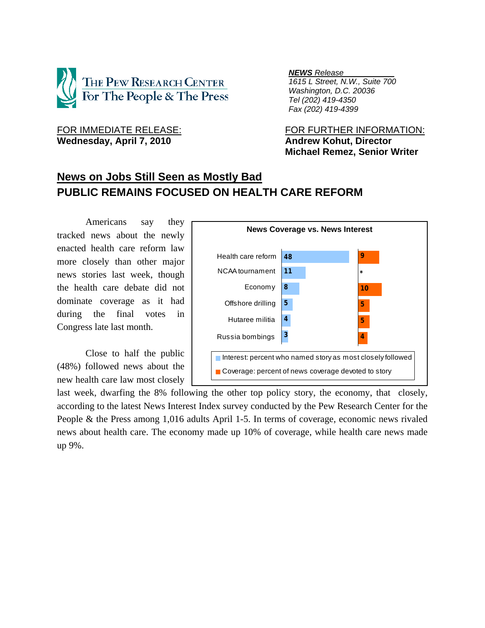

Wednesday, April 7, 2010 **Andrew Kohut, Director** 

*NEWS Release .*

 *1615 L Street, N.W., Suite 700 Washington, D.C. 20036 Tel (202) 419-4350 Fax (202) 419-4399*

FOR IMMEDIATE RELEASE: FOR FURTHER INFORMATION:  **Michael Remez, Senior Writer** 

# **News on Jobs Still Seen as Mostly Bad PUBLIC REMAINS FOCUSED ON HEALTH CARE REFORM**

Americans say they tracked news about the newly enacted health care reform law more closely than other major news stories last week, though the health care debate did not dominate coverage as it had during the final votes in Congress late last month.

 Close to half the public (48%) followed news about the new health care law most closely

| <b>News Coverage vs. News Interest</b>                     |    |         |  |  |  |  |  |
|------------------------------------------------------------|----|---------|--|--|--|--|--|
|                                                            |    |         |  |  |  |  |  |
| Health care reform                                         | 48 | 9       |  |  |  |  |  |
| NCAA tournament                                            | 11 | $\star$ |  |  |  |  |  |
| Economy                                                    | 8  | 10      |  |  |  |  |  |
| Offshore drilling                                          | 5  | 5       |  |  |  |  |  |
| Hutaree militia                                            | 4  | 5       |  |  |  |  |  |
| Russia bombings                                            | 3  | 4       |  |  |  |  |  |
| Interest: percent who named story as most closely followed |    |         |  |  |  |  |  |
| Coverage: percent of news coverage devoted to story        |    |         |  |  |  |  |  |

last week, dwarfing the 8% following the other top policy story, the economy, that closely, according to the latest News Interest Index survey conducted by the Pew Research Center for the People & the Press among 1,016 adults April 1-5. In terms of coverage, economic news rivaled news about health care. The economy made up 10% of coverage, while health care news made up 9%.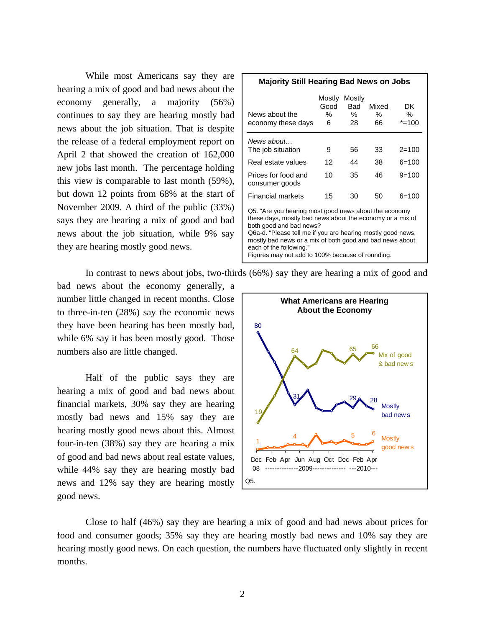While most Americans say they are hearing a mix of good and bad news about the economy generally, a majority (56%) continues to say they are hearing mostly bad news about the job situation. That is despite the release of a federal employment report on April 2 that showed the creation of 162,000 new jobs last month. The percentage holding this view is comparable to last month (59%), but down 12 points from 68% at the start of November 2009. A third of the public (33%) says they are hearing a mix of good and bad news about the job situation, while 9% say they are hearing mostly good news.

| <b>Majority Still Hearing Bad News on Jobs</b>                                                                                                                                                                                                                                                                                                          |                          |                          |                  |                     |  |  |  |
|---------------------------------------------------------------------------------------------------------------------------------------------------------------------------------------------------------------------------------------------------------------------------------------------------------------------------------------------------------|--------------------------|--------------------------|------------------|---------------------|--|--|--|
| News about the<br>economy these days                                                                                                                                                                                                                                                                                                                    | Mostly<br>Good<br>%<br>6 | Mostly<br>Bad<br>℅<br>28 | Mixed<br>℅<br>66 | DK<br>%<br>$*$ =100 |  |  |  |
| News about<br>The job situation                                                                                                                                                                                                                                                                                                                         | 9                        | 56                       | 33               | $2 = 100$           |  |  |  |
| Real estate values                                                                                                                                                                                                                                                                                                                                      | 12                       | 44                       | 38               | 6=100               |  |  |  |
| Prices for food and<br>consumer goods                                                                                                                                                                                                                                                                                                                   | 10                       | 35                       | 46               | $9=100$             |  |  |  |
| <b>Financial markets</b>                                                                                                                                                                                                                                                                                                                                | 15                       | 30                       | 50               | $6=100$             |  |  |  |
| Q5. "Are you hearing most good news about the economy<br>these days, mostly bad news about the economy or a mix of<br>both good and bad news?<br>Q6a-d. "Please tell me if you are hearing mostly good news,<br>mostly bad news or a mix of both good and bad news about<br>each of the following."<br>Figures may not add to 100% because of rounding. |                          |                          |                  |                     |  |  |  |

In contrast to news about jobs, two-thirds (66%) say they are hearing a mix of good and

bad news about the economy generally, a number little changed in recent months. Close to three-in-ten (28%) say the economic news they have been hearing has been mostly bad, while 6% say it has been mostly good. Those numbers also are little changed.

Half of the public says they are hearing a mix of good and bad news about financial markets, 30% say they are hearing mostly bad news and 15% say they are hearing mostly good news about this. Almost four-in-ten (38%) say they are hearing a mix of good and bad news about real estate values, while 44% say they are hearing mostly bad news and 12% say they are hearing mostly good news.



Close to half (46%) say they are hearing a mix of good and bad news about prices for food and consumer goods; 35% say they are hearing mostly bad news and 10% say they are hearing mostly good news. On each question, the numbers have fluctuated only slightly in recent months.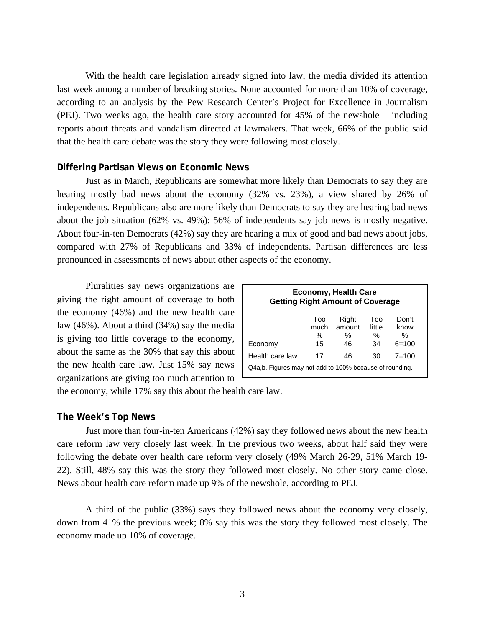With the health care legislation already signed into law, the media divided its attention last week among a number of breaking stories. None accounted for more than 10% of coverage, according to an analysis by the Pew Research Center's Project for Excellence in Journalism (PEJ). Two weeks ago, the health care story accounted for 45% of the newshole – including reports about threats and vandalism directed at lawmakers. That week, 66% of the public said that the health care debate was the story they were following most closely.

### **Differing Partisan Views on Economic News**

Just as in March, Republicans are somewhat more likely than Democrats to say they are hearing mostly bad news about the economy (32% vs. 23%), a view shared by 26% of independents. Republicans also are more likely than Democrats to say they are hearing bad news about the job situation (62% vs. 49%); 56% of independents say job news is mostly negative. About four-in-ten Democrats (42%) say they are hearing a mix of good and bad news about jobs, compared with 27% of Republicans and 33% of independents. Partisan differences are less pronounced in assessments of news about other aspects of the economy.

Pluralities say news organizations are giving the right amount of coverage to both the economy (46%) and the new health care law (46%). About a third (34%) say the media is giving too little coverage to the economy, about the same as the 30% that say this about the new health care law. Just 15% say news organizations are giving too much attention to

| <b>Economy, Health Care</b><br><b>Getting Right Amount of Coverage</b> |                        |                            |                                      |                               |  |  |  |
|------------------------------------------------------------------------|------------------------|----------------------------|--------------------------------------|-------------------------------|--|--|--|
| Economy                                                                | Too<br>much<br>℅<br>15 | Right<br>amount<br>℅<br>46 | Too<br>little<br>$\frac{0}{0}$<br>34 | Don't<br>know<br>%<br>$6=100$ |  |  |  |
| Health care law                                                        | 17                     | 46                         | 30                                   | $7 = 100$                     |  |  |  |
| Q4a,b. Figures may not add to 100% because of rounding.                |                        |                            |                                      |                               |  |  |  |

the economy, while 17% say this about the health care law.

#### **The Week's Top News**

Just more than four-in-ten Americans (42%) say they followed news about the new health care reform law very closely last week. In the previous two weeks, about half said they were following the debate over health care reform very closely (49% March 26-29, 51% March 19- 22). Still, 48% say this was the story they followed most closely. No other story came close. News about health care reform made up 9% of the newshole, according to PEJ.

 A third of the public (33%) says they followed news about the economy very closely, down from 41% the previous week; 8% say this was the story they followed most closely. The economy made up 10% of coverage.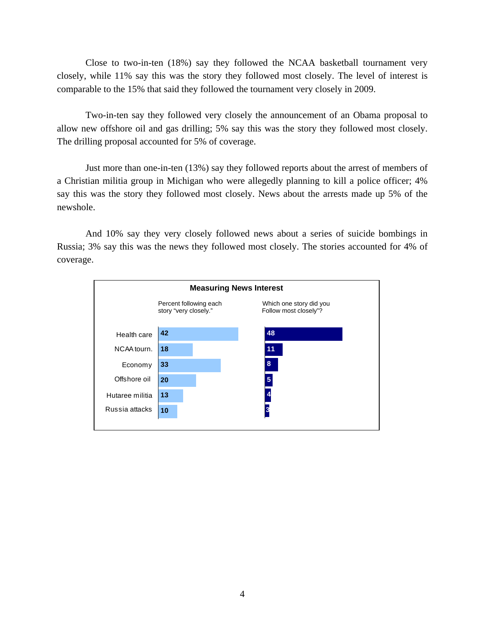Close to two-in-ten (18%) say they followed the NCAA basketball tournament very closely, while 11% say this was the story they followed most closely. The level of interest is comparable to the 15% that said they followed the tournament very closely in 2009.

 Two-in-ten say they followed very closely the announcement of an Obama proposal to allow new offshore oil and gas drilling; 5% say this was the story they followed most closely. The drilling proposal accounted for 5% of coverage.

 Just more than one-in-ten (13%) say they followed reports about the arrest of members of a Christian militia group in Michigan who were allegedly planning to kill a police officer; 4% say this was the story they followed most closely. News about the arrests made up 5% of the newshole.

 And 10% say they very closely followed news about a series of suicide bombings in Russia; 3% say this was the news they followed most closely. The stories accounted for 4% of coverage.

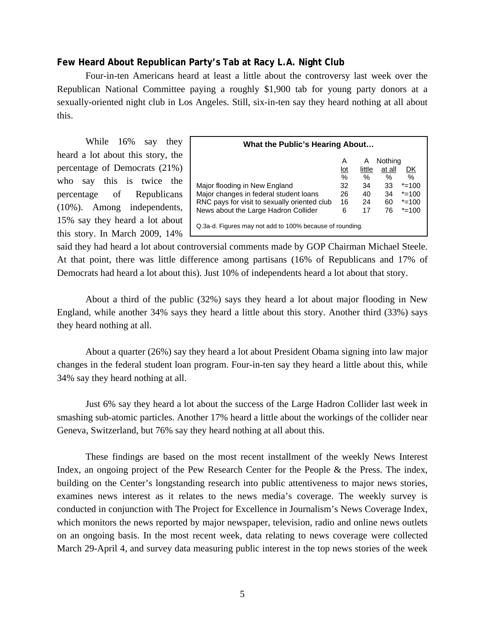### **Few Heard About Republican Party's Tab at Racy L.A. Night Club**

Four-in-ten Americans heard at least a little about the controversy last week over the Republican National Committee paying a roughly \$1,900 tab for young party donors at a sexually-oriented night club in Los Angeles. Still, six-in-ten say they heard nothing at all about this.

 While 16% say they heard a lot about this story, the percentage of Democrats (21%) who say this is twice the percentage of Republicans (10%). Among independents, 15% say they heard a lot about this story. In March 2009, 14%

| What the Public's Hearing About                                                                                                                                                                                             |                                                         |                                             |                                                   |                                                                |  |  |
|-----------------------------------------------------------------------------------------------------------------------------------------------------------------------------------------------------------------------------|---------------------------------------------------------|---------------------------------------------|---------------------------------------------------|----------------------------------------------------------------|--|--|
| Major flooding in New England<br>Major changes in federal student loans<br>RNC pays for visit to sexually oriented club<br>News about the Large Hadron Collider<br>Q.3a-d. Figures may not add to 100% because of rounding. | Α<br><u>lot</u><br>$\frac{0}{0}$<br>32<br>26<br>16<br>6 | Α<br>little<br>$\%$<br>34<br>40<br>24<br>17 | Nothing<br>at all<br>$\%$<br>33<br>34<br>60<br>76 | DK<br>$\%$<br>$* = 100$<br>$* = 100$<br>$* = 100$<br>$* = 100$ |  |  |

said they had heard a lot about controversial comments made by GOP Chairman Michael Steele. At that point, there was little difference among partisans (16% of Republicans and 17% of Democrats had heard a lot about this). Just 10% of independents heard a lot about that story.

About a third of the public (32%) says they heard a lot about major flooding in New England, while another 34% says they heard a little about this story. Another third (33%) says they heard nothing at all.

 About a quarter (26%) say they heard a lot about President Obama signing into law major changes in the federal student loan program. Four-in-ten say they heard a little about this, while 34% say they heard nothing at all.

 Just 6% say they heard a lot about the success of the Large Hadron Collider last week in smashing sub-atomic particles. Another 17% heard a little about the workings of the collider near Geneva, Switzerland, but 76% say they heard nothing at all about this.

 These findings are based on the most recent installment of the weekly News Interest Index, an ongoing project of the Pew Research Center for the People & the Press. The index, building on the Center's longstanding research into public attentiveness to major news stories, examines news interest as it relates to the news media's coverage. The weekly survey is conducted in conjunction with The Project for Excellence in Journalism's News Coverage Index, which monitors the news reported by major newspaper, television, radio and online news outlets on an ongoing basis. In the most recent week, data relating to news coverage were collected March 29-April 4, and survey data measuring public interest in the top news stories of the week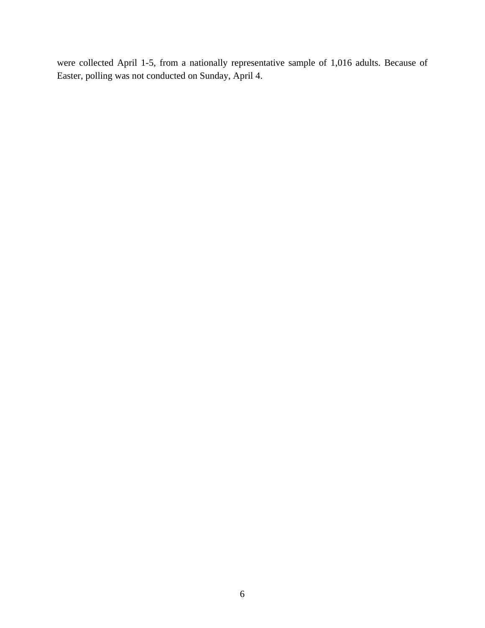were collected April 1-5, from a nationally representative sample of 1,016 adults. Because of Easter, polling was not conducted on Sunday, April 4.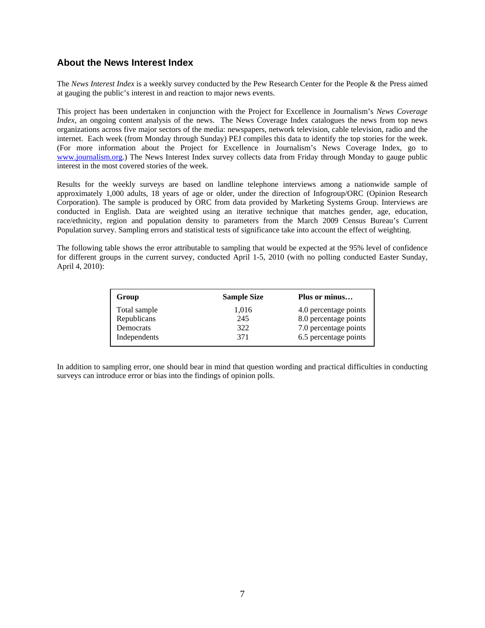### **About the News Interest Index**

The *News Interest Index* is a weekly survey conducted by the Pew Research Center for the People & the Press aimed at gauging the public's interest in and reaction to major news events.

This project has been undertaken in conjunction with the Project for Excellence in Journalism's *News Coverage Index*, an ongoing content analysis of the news. The News Coverage Index catalogues the news from top news organizations across five major sectors of the media: newspapers, network television, cable television, radio and the internet. Each week (from Monday through Sunday) PEJ compiles this data to identify the top stories for the week. (For more information about the Project for Excellence in Journalism's News Coverage Index, go to www.journalism.org.) The News Interest Index survey collects data from Friday through Monday to gauge public interest in the most covered stories of the week.

Results for the weekly surveys are based on landline telephone interviews among a nationwide sample of approximately 1,000 adults, 18 years of age or older, under the direction of Infogroup/ORC (Opinion Research Corporation). The sample is produced by ORC from data provided by Marketing Systems Group. Interviews are conducted in English. Data are weighted using an iterative technique that matches gender, age, education, race/ethnicity, region and population density to parameters from the March 2009 Census Bureau's Current Population survey. Sampling errors and statistical tests of significance take into account the effect of weighting.

The following table shows the error attributable to sampling that would be expected at the 95% level of confidence for different groups in the current survey, conducted April 1-5, 2010 (with no polling conducted Easter Sunday, April 4, 2010):

| Group        | <b>Sample Size</b> | Plus or minus         |
|--------------|--------------------|-----------------------|
| Total sample | 1,016              | 4.0 percentage points |
| Republicans  | 245                | 8.0 percentage points |
| Democrats    | 322                | 7.0 percentage points |
| Independents | 371                | 6.5 percentage points |

In addition to sampling error, one should bear in mind that question wording and practical difficulties in conducting surveys can introduce error or bias into the findings of opinion polls.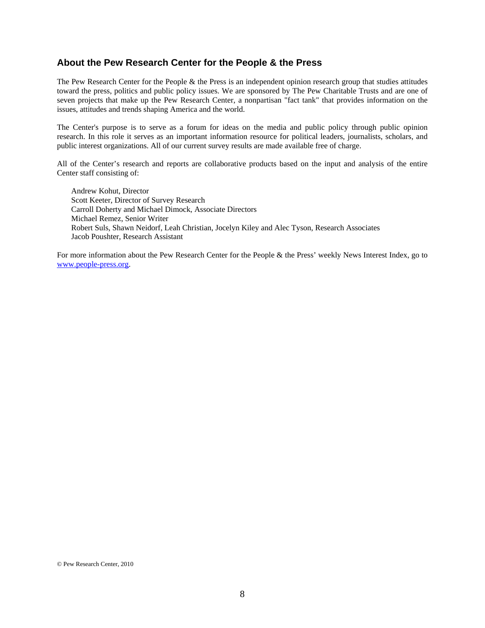### **About the Pew Research Center for the People & the Press**

The Pew Research Center for the People & the Press is an independent opinion research group that studies attitudes toward the press, politics and public policy issues. We are sponsored by The Pew Charitable Trusts and are one of seven projects that make up the Pew Research Center, a nonpartisan "fact tank" that provides information on the issues, attitudes and trends shaping America and the world.

The Center's purpose is to serve as a forum for ideas on the media and public policy through public opinion research. In this role it serves as an important information resource for political leaders, journalists, scholars, and public interest organizations. All of our current survey results are made available free of charge.

All of the Center's research and reports are collaborative products based on the input and analysis of the entire Center staff consisting of:

 Andrew Kohut, Director Scott Keeter, Director of Survey Research Carroll Doherty and Michael Dimock, Associate Directors Michael Remez, Senior Writer Robert Suls, Shawn Neidorf, Leah Christian, Jocelyn Kiley and Alec Tyson, Research Associates Jacob Poushter, Research Assistant

For more information about the Pew Research Center for the People & the Press' weekly News Interest Index, go to www.people-press.org.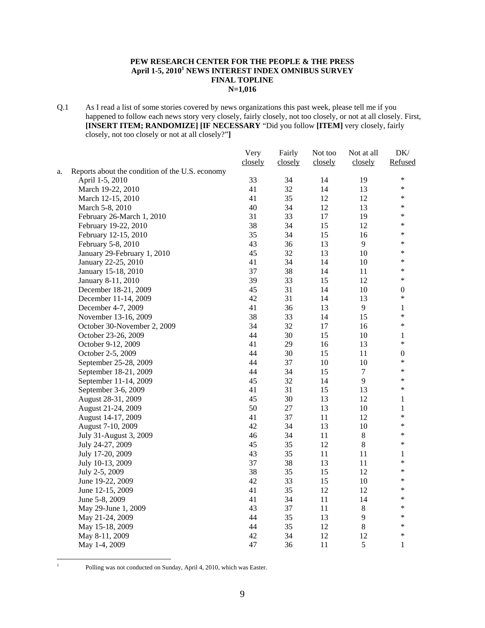#### **PEW RESEARCH CENTER FOR THE PEOPLE & THE PRESS April 1-5, 20101 NEWS INTEREST INDEX OMNIBUS SURVEY FINAL TOPLINE N=1,016**

Q.1 As I read a list of some stories covered by news organizations this past week, please tell me if you happened to follow each news story very closely, fairly closely, not too closely, or not at all closely. First, **[INSERT ITEM; RANDOMIZE] [IF NECESSARY** "Did you follow **[ITEM]** very closely, fairly closely, not too closely or not at all closely?"**]**

|    |                                                 | Very    | Fairly  | Not too | Not at all | DK/              |
|----|-------------------------------------------------|---------|---------|---------|------------|------------------|
|    |                                                 | closely | closely | closely | closely    | Refused          |
| a. | Reports about the condition of the U.S. economy |         |         |         |            |                  |
|    | April 1-5, 2010                                 | 33      | 34      | 14      | 19         | $\ast$           |
|    | March 19-22, 2010                               | 41      | 32      | 14      | 13         | $\ast$           |
|    | March 12-15, 2010                               | 41      | 35      | 12      | 12         | $\ast$           |
|    | March 5-8, 2010                                 | 40      | 34      | 12      | 13         | ∗                |
|    | February 26-March 1, 2010                       | 31      | 33      | 17      | 19         | ∗                |
|    | February 19-22, 2010                            | 38      | 34      | 15      | 12         | *                |
|    | February 12-15, 2010                            | 35      | 34      | 15      | 16         | *                |
|    | February 5-8, 2010                              | 43      | 36      | 13      | 9          | $\ast$           |
|    | January 29-February 1, 2010                     | 45      | 32      | 13      | 10         | *                |
|    | January 22-25, 2010                             | 41      | 34      | 14      | $10\,$     | *                |
|    | January 15-18, 2010                             | 37      | 38      | 14      | 11         | *                |
|    | January 8-11, 2010                              | 39      | 33      | 15      | 12         | *                |
|    | December 18-21, 2009                            | 45      | 31      | 14      | $10\,$     | $\boldsymbol{0}$ |
|    | December 11-14, 2009                            | 42      | 31      | 14      | 13         | $\ast$           |
|    | December 4-7, 2009                              | 41      | 36      | 13      | 9          | 1                |
|    | November 13-16, 2009                            | 38      | 33      | 14      | 15         | *                |
|    | October 30-November 2, 2009                     | 34      | 32      | 17      | 16         | *                |
|    | October 23-26, 2009                             | 44      | 30      | 15      | 10         | 1                |
|    | October 9-12, 2009                              | 41      | 29      | 16      | 13         | *                |
|    | October 2-5, 2009                               | 44      | 30      | 15      | 11         | $\boldsymbol{0}$ |
|    | September 25-28, 2009                           | 44      | 37      | 10      | 10         | *                |
|    | September 18-21, 2009                           | 44      | 34      | 15      | $\tau$     | *                |
|    | September 11-14, 2009                           | 45      | 32      | 14      | 9          | *                |
|    | September 3-6, 2009                             | 41      | 31      | 15      | 13         | *                |
|    | August 28-31, 2009                              | 45      | 30      | 13      | 12         | 1                |
|    | August 21-24, 2009                              | 50      | 27      | 13      | $10\,$     | 1                |
|    | August 14-17, 2009                              | 41      | 37      | 11      | 12         | *                |
|    | August 7-10, 2009                               | 42      | 34      | 13      | 10         | *                |
|    | July 31-August 3, 2009                          | 46      | 34      | 11      | $8\,$      | $\ast$           |
|    | July 24-27, 2009                                | 45      | 35      | 12      | $8\,$      | *                |
|    | July 17-20, 2009                                | 43      | 35      | 11      | 11         | 1                |
|    | July 10-13, 2009                                | 37      | 38      | 13      | 11         | *                |
|    | July 2-5, 2009                                  | 38      | 35      | 15      | 12         | *                |
|    | June 19-22, 2009                                | 42      | 33      | 15      | $10\,$     | $\ast$           |
|    | June 12-15, 2009                                | 41      | 35      | 12      | 12         | $\ast$           |
|    | June 5-8, 2009                                  | 41      | 34      | 11      | 14         | $\ast$           |
|    | May 29-June 1, 2009                             | 43      | 37      | 11      | $8\,$      | *                |
|    | May 21-24, 2009                                 | 44      | 35      | 13      | 9          | *                |
|    | May 15-18, 2009                                 | 44      | 35      | 12      | $8\,$      | *                |
|    | May 8-11, 2009                                  | 42      | 34      | 12      | 12         | $\ast$           |
|    | May 1-4, 2009                                   | 47      | 36      | 11      | 5          | 1                |
|    |                                                 |         |         |         |            |                  |

 $\frac{1}{1}$ 

Polling was not conducted on Sunday, April 4, 2010, which was Easter.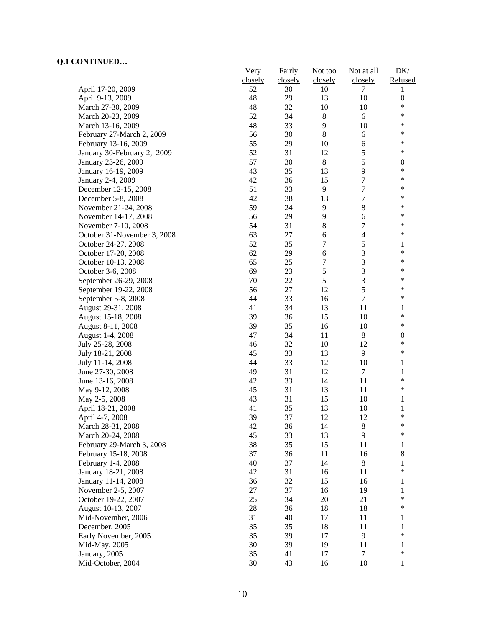|                             | Very     | Fairly   | Not too          | Not at all       | DK/              |
|-----------------------------|----------|----------|------------------|------------------|------------------|
|                             | closely  | closely  | closely          | closely          | Refused          |
| April 17-20, 2009           | 52       | 30       | 10               | 7                | 1                |
| April 9-13, 2009            | 48       | 29       | 13               | 10               | $\boldsymbol{0}$ |
| March 27-30, 2009           | 48       | 32       | 10               | 10               | $\ast$           |
| March 20-23, 2009           | 52       | 34       | $8\,$            | 6                | *                |
| March 13-16, 2009           | 48       | 33       | 9                | 10               | ∗                |
| February 27-March 2, 2009   | 56       | 30       | 8                | 6                | ∗                |
| February 13-16, 2009        | 55       | 29       | 10               | 6                | $\ast$           |
| January 30-February 2, 2009 | 52       | 31       | 12               | 5                | $\ast$           |
| January 23-26, 2009         | 57       | 30       | $8\,$            | 5                | $\boldsymbol{0}$ |
| January 16-19, 2009         | 43       | 35       | 13               | 9                | $\ast$           |
| January 2-4, 2009           | 42       | 36       | 15               | $\tau$           | *                |
| December 12-15, 2008        | 51       | 33       | 9                | $\boldsymbol{7}$ | *                |
| December 5-8, 2008          | 42       | 38       | 13               | $\boldsymbol{7}$ | *                |
| November 21-24, 2008        | 59       | 24       | 9                | $8\,$            | ∗                |
| November 14-17, 2008        | 56       | 29       | 9                | $\epsilon$       | *                |
| November 7-10, 2008         | 54       | 31       | $8\,$            | $\tau$           | *                |
| October 31-November 3, 2008 | 63       | 27       | 6                | $\overline{4}$   | ∗                |
| October 24-27, 2008         | 52       | 35       | $\boldsymbol{7}$ | $\mathfrak s$    | 1                |
| October 17-20, 2008         | 62       | 29       | 6                | 3                | ∗                |
| October 10-13, 2008         | 65       | 25       | $\tau$           | 3                | ∗                |
| October 3-6, 2008           | 69       | 23       | $\sqrt{5}$       | 3                | *                |
| September 26-29, 2008       | 70       | 22       | 5                | $\overline{3}$   | *                |
| September 19-22, 2008       | 56       | 27       | 12               | 5                | ∗                |
| September 5-8, 2008         | 44       | 33       | 16               | $\overline{7}$   | *                |
| August 29-31, 2008          | 41       | 34       | 13               | 11               | 1                |
| August 15-18, 2008          | 39       | 36       | 15               | 10               | $\ast$           |
| August 8-11, 2008           | 39       | 35       | 16               | 10               | $\ast$           |
| August 1-4, 2008            | 47       | 34       | 11               | 8                | $\boldsymbol{0}$ |
| July 25-28, 2008            | 46       | 32       | 10               | 12               | $\ast$           |
| July 18-21, 2008            | 45       | 33       | 13               | 9                | $\ast$           |
| July 11-14, 2008            | 44       | 33       | 12               | 10               | 1                |
| June 27-30, 2008            | 49       | 31       | 12               | $\tau$           | $\mathbf{1}$     |
| June 13-16, 2008            | 42       | 33       | 14               | 11               | $\ast$           |
| May 9-12, 2008              | 45       | 31       | 13               | 11               | $\ast$           |
| May 2-5, 2008               | 43       | 31       | 15               | 10               | 1                |
| April 18-21, 2008           | 41       | 35       | 13               | 10               | $\mathbf{1}$     |
| April 4-7, 2008             | 39       | 37       | 12               | 12               | $\ast$           |
|                             | 42       | 36       | 14               |                  | *                |
| March 28-31, 2008           |          |          |                  | 8<br>9           | *                |
| March 20-24, 2008           | 45<br>38 | 33<br>35 | 13<br>15         | 11               |                  |
| February 29-March 3, 2008   |          |          |                  |                  | 1                |
| February 15-18, 2008        | 37       | 36       | 11               | 16               | $\,$ 8 $\,$      |
| February 1-4, 2008          | 40       | 37       | 14               | $8\,$            | 1<br>$\ast$      |
| January 18-21, 2008         | 42       | 31       | 16               | 11               |                  |
| January 11-14, 2008         | 36       | 32       | 15               | 16               | 1                |
| November 2-5, 2007          | 27       | 37       | 16               | 19               | 1                |
| October 19-22, 2007         | 25       | 34       | 20               | 21               | $\ast$           |
| August 10-13, 2007          | 28       | 36       | 18               | 18               | $\ast$           |
| Mid-November, 2006          | 31       | 40       | 17               | 11               | 1                |
| December, 2005              | 35       | 35       | 18               | 11               | $\mathbf{1}$     |
| Early November, 2005        | 35       | 39       | 17               | 9                | $\ast$           |
| Mid-May, 2005               | 30       | 39       | 19               | 11               | 1                |
| January, 2005               | 35       | 41       | 17               | $\tau$           | *                |
| Mid-October, 2004           | 30       | 43       | 16               | 10               | 1                |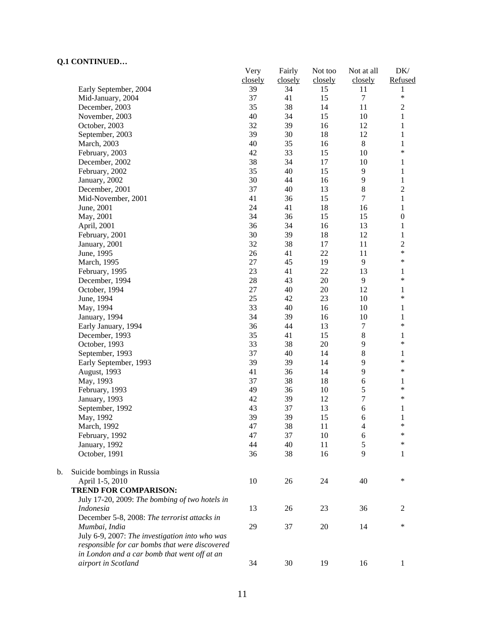$\mathbf b$ .

|    | ~~~~ <del>~</del> ~~~                          | Very    | Fairly  | Not too | Not at all       | DK/              |
|----|------------------------------------------------|---------|---------|---------|------------------|------------------|
|    |                                                | closely | closely | closely | closely          | Refused          |
|    | Early September, 2004                          | 39      | 34      | 15      | 11               | 1<br>$\ast$      |
|    | Mid-January, 2004                              | 37      | 41      | 15      | $\boldsymbol{7}$ |                  |
|    | December, 2003                                 | 35      | 38      | 14      | 11               | $\sqrt{2}$       |
|    | November, 2003                                 | 40      | 34      | 15      | $10\,$           | $\,1$            |
|    | October, 2003                                  | 32      | 39      | 16      | 12               | $\mathbf{1}$     |
|    | September, 2003                                | 39      | 30      | 18      | 12               | $\mathbf{1}$     |
|    | March, 2003                                    | 40      | 35      | 16      | $\,8\,$          | $\mathbf{1}$     |
|    | February, 2003                                 | 42      | 33      | 15      | 10               | $\ast$           |
|    | December, 2002                                 | 38      | 34      | 17      | 10               | 1                |
|    | February, 2002                                 | 35      | 40      | 15      | 9                | $\mathbf{1}$     |
|    | January, 2002                                  | 30      | 44      | 16      | 9                | $\mathbf{1}$     |
|    | December, 2001                                 | 37      | 40      | 13      | $\,$ 8 $\,$      | $\overline{c}$   |
|    | Mid-November, 2001                             | 41      | 36      | 15      | $\overline{7}$   | $\mathbf{1}$     |
|    | June, 2001                                     | 24      | 41      | 18      | 16               | $\mathbf{1}$     |
|    | May, 2001                                      | 34      | 36      | 15      | 15               | $\boldsymbol{0}$ |
|    | April, 2001                                    | 36      | 34      | 16      | 13               | $\mathbf{1}$     |
|    | February, 2001                                 | 30      | 39      | 18      | 12               | $\mathbf{1}$     |
|    | January, 2001                                  | 32      | 38      | 17      | 11               | $\overline{c}$   |
|    | June, 1995                                     | 26      | 41      | 22      | 11               | $\ast$           |
|    | March, 1995                                    | 27      | 45      | 19      | 9                | $\ast$           |
|    | February, 1995                                 | 23      | 41      | 22      | 13               | $\mathbf{1}$     |
|    | December, 1994                                 | 28      | 43      | 20      | 9                | $\ast$           |
|    | October, 1994                                  | 27      | 40      | 20      | 12               | 1                |
|    | June, 1994                                     | 25      | 42      | 23      | 10               | $\ast$           |
|    | May, 1994                                      | 33      | 40      | 16      | 10               | $\mathbf{1}$     |
|    | January, 1994                                  | 34      | 39      | 16      | 10               | $\mathbf{1}$     |
|    | Early January, 1994                            | 36      | 44      | 13      | $\boldsymbol{7}$ | $\ast$           |
|    | December, 1993                                 | 35      | 41      | 15      | $\,$ 8 $\,$      | $\mathbf{1}$     |
|    | October, 1993                                  | 33      | 38      | 20      | 9                | $\ast$           |
|    | September, 1993                                | 37      | 40      | 14      | $\,$ 8 $\,$      | $\mathbf{1}$     |
|    | Early September, 1993                          | 39      | 39      | 14      | 9                | $\ast$           |
|    | August, 1993                                   | 41      | 36      | 14      | 9                | $\ast$           |
|    | May, 1993                                      | 37      | 38      | 18      | 6                | 1                |
|    | February, 1993                                 | 49      | 36      | 10      | 5                | $\ast$           |
|    | January, 1993                                  | 42      | 39      | 12      | $\overline{7}$   | $\ast$           |
|    | September, 1992                                | 43      | 37      | 13      | 6                | $\mathbf{1}$     |
|    | May, 1992                                      | 39      | 39      | 15      | 6                | 1                |
|    | March, 1992                                    | 47      | 38      | 11      | 4                | ∗                |
|    | February, 1992                                 | 47      | 37      | 10      | 6                | ∗                |
|    | January, 1992                                  | 44      | 40      | 11      | 5                | ∗                |
|    | October, 1991                                  | 36      | 38      | 16      | 9                | 1                |
| b. | Suicide bombings in Russia                     |         |         |         |                  |                  |
|    | April 1-5, 2010                                | 10      | 26      | 24      | 40               | ∗                |
|    | <b>TREND FOR COMPARISON:</b>                   |         |         |         |                  |                  |
|    | July 17-20, 2009: The bombing of two hotels in |         |         |         |                  |                  |
|    | <i>Indonesia</i>                               | 13      | 26      | 23      | 36               | 2                |
|    | December 5-8, 2008: The terrorist attacks in   |         |         |         |                  |                  |
|    | Mumbai, India                                  | 29      | 37      | 20      | 14               | $\ast$           |
|    | July 6-9, 2007: The investigation into who was |         |         |         |                  |                  |
|    | responsible for car bombs that were discovered |         |         |         |                  |                  |
|    | in London and a car bomb that went off at an   |         |         |         |                  |                  |
|    | airport in Scotland                            | 34      | 30      | 19      | 16               | $\mathbf{1}$     |
|    |                                                |         |         |         |                  |                  |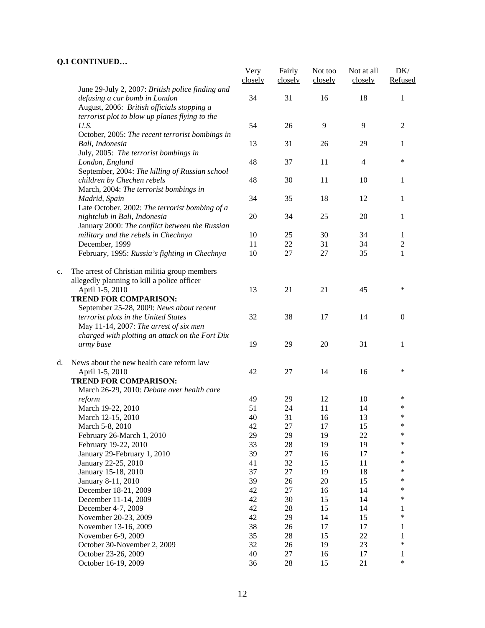|    |                                                                                              | Very<br>closely | Fairly<br>closely | Not too<br>closely | Not at all<br>closely | DK/<br>Refused   |
|----|----------------------------------------------------------------------------------------------|-----------------|-------------------|--------------------|-----------------------|------------------|
|    | June 29-July 2, 2007: British police finding and<br>defusing a car bomb in London            | 34              | 31                | 16                 | 18                    | 1                |
|    | August, 2006: British officials stopping a<br>terrorist plot to blow up planes flying to the |                 |                   |                    |                       |                  |
|    | U.S.                                                                                         | 54              | 26                | 9                  | 9                     | $\overline{2}$   |
|    | October, 2005: The recent terrorist bombings in<br>Bali, Indonesia                           | 13              | 31                | 26                 | 29                    | 1                |
|    | July, 2005: The terrorist bombings in<br>London, England                                     | 48              | 37                | 11                 | 4                     | ∗                |
|    | September, 2004: The killing of Russian school<br>children by Chechen rebels                 | 48              | 30                | 11                 | 10                    | 1                |
|    | March, 2004: The terrorist bombings in<br>Madrid, Spain                                      | 34              | 35                | 18                 | 12                    | 1                |
|    | Late October, 2002: The terrorist bombing of a<br>nightclub in Bali, Indonesia               | 20              | 34                | 25                 | 20                    | 1                |
|    | January 2000: The conflict between the Russian<br>military and the rebels in Chechnya        | 10              | 25                | 30                 | 34                    | 1                |
|    | December, 1999                                                                               | 11              | 22                | 31                 | 34                    | $\boldsymbol{2}$ |
|    | February, 1995: Russia's fighting in Chechnya                                                | 10              | 27                | 27                 | 35                    | 1                |
| c. | The arrest of Christian militia group members                                                |                 |                   |                    |                       |                  |
|    | allegedly planning to kill a police officer                                                  |                 |                   |                    |                       |                  |
|    | April 1-5, 2010                                                                              | 13              | 21                | 21                 | 45                    | $\ast$           |
|    | <b>TREND FOR COMPARISON:</b><br>September 25-28, 2009: News about recent                     |                 |                   |                    |                       |                  |
|    | terrorist plots in the United States<br>May 11-14, 2007: The arrest of six men               | 32              | 38                | 17                 | 14                    | $\overline{0}$   |
|    | charged with plotting an attack on the Fort Dix                                              |                 |                   |                    |                       |                  |
|    | army base                                                                                    | 19              | 29                | 20                 | 31                    | 1                |
| d. | News about the new health care reform law                                                    |                 |                   |                    |                       |                  |
|    | April 1-5, 2010                                                                              | 42              | 27                | 14                 | 16                    | $\ast$           |
|    | <b>TREND FOR COMPARISON:</b>                                                                 |                 |                   |                    |                       |                  |
|    | March 26-29, 2010: Debate over health care                                                   |                 |                   |                    |                       |                  |
|    | reform                                                                                       | 49              | 29                | 12                 | 10                    | $\ast$           |
|    | March 19-22, 2010                                                                            | 51              | 24                | 11                 | 14                    | ∗                |
|    | March 12-15, 2010                                                                            | 40              | 31                | 16                 | 13                    | $\ast$           |
|    | March 5-8, 2010                                                                              | 42              | 27                | 17                 | 15                    | $\ast$           |
|    | February 26-March 1, 2010                                                                    | 29              | 29                | 19                 | 22                    | *                |
|    | February 19-22, 2010                                                                         | 33              | 28                | 19                 | 19                    | $\ast$           |
|    | January 29-February 1, 2010                                                                  | 39              | 27                | 16                 | 17                    | $\ast$           |
|    | January 22-25, 2010                                                                          | 41              | 32                | 15                 | 11                    | $\ast$           |
|    | January 15-18, 2010                                                                          | 37              | 27                | 19                 | 18                    | $\ast$           |
|    | January 8-11, 2010                                                                           | 39              | 26                | 20                 | 15                    | $\ast$           |
|    | December 18-21, 2009                                                                         | 42              | 27                | 16                 | 14                    | $\ast$           |
|    | December 11-14, 2009                                                                         | 42              | 30                | 15                 | 14                    | *                |
|    | December 4-7, 2009                                                                           | 42              | 28                | 15                 | 14                    | 1                |
|    | November 20-23, 2009                                                                         | 42              | 29                | 14                 | 15                    | $\ast$           |
|    | November 13-16, 2009                                                                         | 38              | 26                | 17                 | 17                    | 1                |
|    | November 6-9, 2009                                                                           | 35              | 28                | 15                 | 22                    | $\mathbf{1}$     |
|    | October 30-November 2, 2009                                                                  | 32              | 26                | 19                 | 23                    | *                |
|    | October 23-26, 2009                                                                          | 40              | 27                | 16                 | 17                    | 1                |
|    | October 16-19, 2009                                                                          | 36              | 28                | 15                 | 21                    | *                |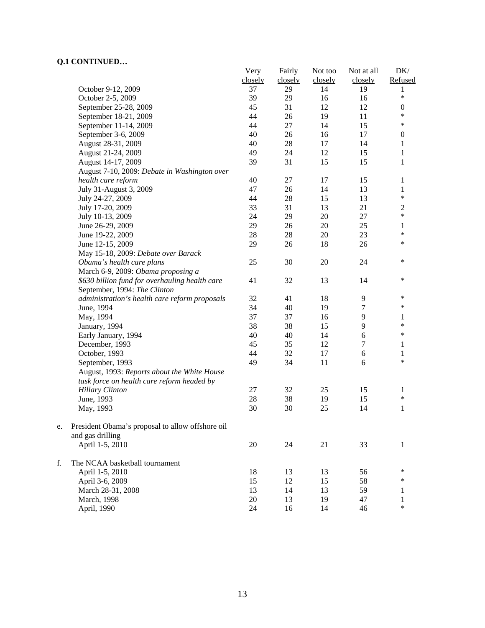|    |                                                  | Very    | Fairly  | Not too | Not at all       | DK/              |
|----|--------------------------------------------------|---------|---------|---------|------------------|------------------|
|    |                                                  | closely | closely | closely | closely          | Refused          |
|    | October 9-12, 2009                               | 37      | 29      | 14      | 19               | 1                |
|    | October 2-5, 2009                                | 39      | 29      | 16      | 16               | *                |
|    | September 25-28, 2009                            | 45      | 31      | 12      | 12               | $\boldsymbol{0}$ |
|    | September 18-21, 2009                            | 44      | 26      | 19      | 11               | $\ast$           |
|    | September 11-14, 2009                            | 44      | $27\,$  | 14      | 15               | $\ast$           |
|    | September 3-6, 2009                              | 40      | 26      | 16      | 17               | $\boldsymbol{0}$ |
|    | August 28-31, 2009                               | 40      | 28      | 17      | 14               | 1                |
|    | August 21-24, 2009                               | 49      | 24      | 12      | 15               | $\mathbf{1}$     |
|    | August 14-17, 2009                               | 39      | 31      | 15      | 15               | $\mathbf{1}$     |
|    | August 7-10, 2009: Debate in Washington over     |         |         |         |                  |                  |
|    | health care reform                               | 40      | 27      | 17      | 15               | 1                |
|    | July 31-August 3, 2009                           | 47      | 26      | 14      | 13               | 1                |
|    | July 24-27, 2009                                 | 44      | 28      | 15      | 13               | $\ast$           |
|    | July 17-20, 2009                                 | 33      | 31      | 13      | 21               | $\boldsymbol{2}$ |
|    | July 10-13, 2009                                 | 24      | 29      | $20\,$  | 27               | $\ast$           |
|    | June 26-29, 2009                                 | 29      | 26      | $20\,$  | 25               | $\mathbf{1}$     |
|    | June 19-22, 2009                                 | 28      | $28\,$  | 20      | 23               | $\ast$           |
|    | June 12-15, 2009                                 | 29      | 26      | 18      | 26               | $\ast$           |
|    | May 15-18, 2009: Debate over Barack              |         |         |         |                  |                  |
|    | Obama's health care plans                        | 25      | 30      | 20      | 24               | $\ast$           |
|    | March 6-9, 2009: Obama proposing a               |         |         |         |                  |                  |
|    | \$630 billion fund for overhauling health care   | 41      | 32      | 13      | 14               | $\ast$           |
|    | September, 1994: The Clinton                     |         |         |         |                  |                  |
|    | administration's health care reform proposals    | 32      | 41      | 18      | 9                | ∗                |
|    | June, 1994                                       | 34      | 40      | 19      | 7                | $\ast$           |
|    | May, 1994                                        | 37      | 37      | 16      | 9                | 1                |
|    | January, 1994                                    | 38      | 38      | 15      | 9                | $\ast$           |
|    | Early January, 1994                              | 40      | 40      | 14      | 6                | $\ast$           |
|    | December, 1993                                   | 45      | 35      | 12      | $\boldsymbol{7}$ | 1                |
|    | October, 1993                                    | 44      | 32      | 17      | $\sqrt{6}$       | $\mathbf{1}$     |
|    | September, 1993                                  | 49      | 34      | 11      | 6                | *                |
|    | August, 1993: Reports about the White House      |         |         |         |                  |                  |
|    | task force on health care reform headed by       |         |         |         |                  |                  |
|    | <b>Hillary Clinton</b>                           | 27      | 32      | 25      | 15               | 1                |
|    | June, 1993                                       | $28\,$  | 38      | 19      | 15               | $\ast$           |
|    | May, 1993                                        | 30      | 30      | 25      | 14               | 1                |
| e. | President Obama's proposal to allow offshore oil |         |         |         |                  |                  |
|    | and gas drilling                                 |         |         |         |                  |                  |
|    | April 1-5, 2010                                  | $20\,$  | 24      | 21      | 33               | 1                |
| f. | The NCAA basketball tournament                   |         |         |         |                  |                  |
|    | April 1-5, 2010                                  | 18      | 13      | 13      | 56               | ∗                |
|    | April 3-6, 2009                                  | 15      | 12      | 15      | 58               | ∗                |
|    | March 28-31, 2008                                | 13      | 14      | 13      | 59               | 1                |
|    | March, 1998                                      | 20      | 13      | 19      | 47               | 1                |
|    | April, 1990                                      | 24      | 16      | 14      | 46               | $\ast$           |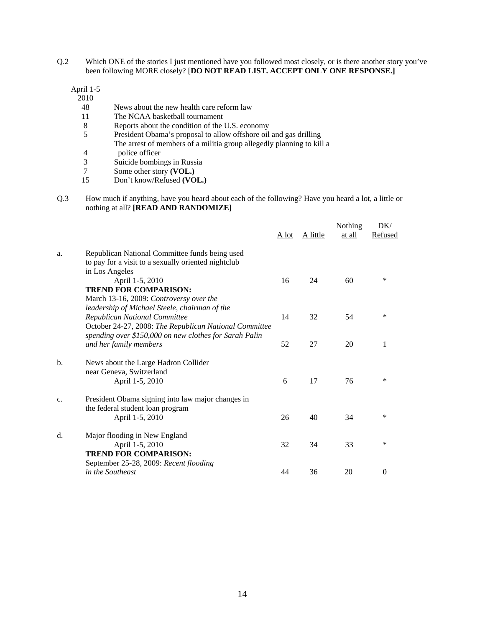Q.2 Which ONE of the stories I just mentioned have you followed most closely, or is there another story you've been following MORE closely? [**DO NOT READ LIST. ACCEPT ONLY ONE RESPONSE.]** 

April 1-5

2010

- 48 News about the new health care reform law
- 11 The NCAA basketball tournament
- 8 Reports about the condition of the U.S. economy
- 5 President Obama's proposal to allow offshore oil and gas drilling The arrest of members of a militia group allegedly planning to kill a
- 4 police officer<br>3 Suicide bombin
- 3 Suicide bombings in Russia<br>7 Some other story (VOL.)
- Some other story **(VOL.)**
- 15 Don't know/Refused **(VOL.)**
- Q.3 How much if anything, have you heard about each of the following? Have you heard a lot, a little or nothing at all? **[READ AND RANDOMIZE]**

|    |                                                        | A lot | A little | Nothing<br>at all | DK/<br>Refused |
|----|--------------------------------------------------------|-------|----------|-------------------|----------------|
| a. | Republican National Committee funds being used         |       |          |                   |                |
|    | to pay for a visit to a sexually oriented nightclub    |       |          |                   |                |
|    | in Los Angeles                                         |       |          |                   |                |
|    | April 1-5, 2010                                        | 16    | 24       | 60                | $\ast$         |
|    | <b>TREND FOR COMPARISON:</b>                           |       |          |                   |                |
|    | March 13-16, 2009: Controversy over the                |       |          |                   |                |
|    | leadership of Michael Steele, chairman of the          |       |          |                   |                |
|    | Republican National Committee                          | 14    | 32       | 54                | *              |
|    | October 24-27, 2008: The Republican National Committee |       |          |                   |                |
|    | spending over \$150,000 on new clothes for Sarah Palin |       |          |                   |                |
|    | and her family members                                 | 52    | 27       | 20                | 1              |
| b. | News about the Large Hadron Collider                   |       |          |                   |                |
|    | near Geneva, Switzerland                               |       |          |                   |                |
|    | April 1-5, 2010                                        | 6     | 17       | 76                | *              |
| c. | President Obama signing into law major changes in      |       |          |                   |                |
|    | the federal student loan program                       |       |          |                   |                |
|    | April 1-5, 2010                                        | 26    | 40       | 34                | $\ast$         |
| d. | Major flooding in New England                          |       |          |                   |                |
|    | April 1-5, 2010                                        | 32    | 34       | 33                | *              |
|    | <b>TREND FOR COMPARISON:</b>                           |       |          |                   |                |
|    | September 25-28, 2009: Recent flooding                 |       |          |                   |                |
|    | in the Southeast                                       | 44    | 36       | 20                | $\theta$       |
|    |                                                        |       |          |                   |                |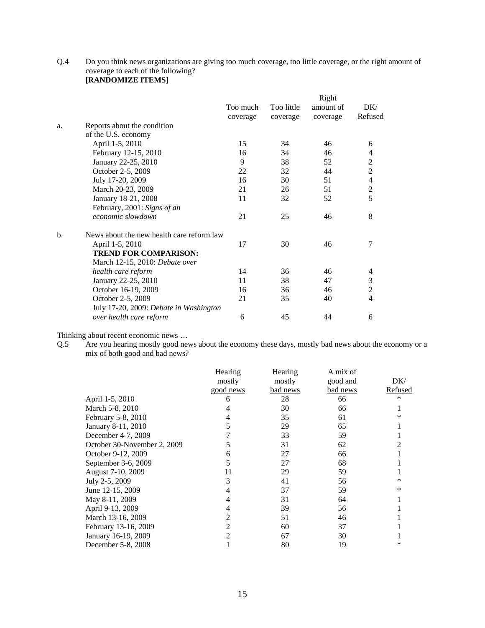Q.4 Do you think news organizations are giving too much coverage, too little coverage, or the right amount of coverage to each of the following? **[RANDOMIZE ITEMS]** 

| Too much<br>coverage | Too little<br>coverage                                                              | amount of | DK/              |
|----------------------|-------------------------------------------------------------------------------------|-----------|------------------|
|                      |                                                                                     |           |                  |
|                      |                                                                                     | coverage  | Refused          |
|                      |                                                                                     |           |                  |
|                      |                                                                                     |           |                  |
| 15                   | 34                                                                                  | 46        | 6                |
| 16                   | 34                                                                                  | 46        | 4                |
| 9                    | 38                                                                                  | 52        | $\boldsymbol{2}$ |
| 22                   | 32                                                                                  | 44        | $\overline{c}$   |
| 16                   | 30                                                                                  | 51        | $\overline{4}$   |
| 21                   | 26                                                                                  | 51        | $\overline{c}$   |
| 11                   | 32                                                                                  | 52        | $\overline{5}$   |
|                      |                                                                                     |           |                  |
| 21                   | 25                                                                                  | 46        | 8                |
|                      |                                                                                     |           |                  |
| 17                   | 30                                                                                  | 46        | 7                |
|                      |                                                                                     |           |                  |
|                      |                                                                                     |           |                  |
| 14                   | 36                                                                                  | 46        | 4                |
| 11                   | 38                                                                                  | 47        | 3                |
| 16                   | 36                                                                                  | 46        | $\overline{2}$   |
| 21                   | 35                                                                                  | 40        | 4                |
|                      |                                                                                     |           |                  |
| 6                    | 45                                                                                  | 44        | 6                |
|                      | News about the new health care reform law<br>July 17-20, 2009: Debate in Washington |           |                  |

Thinking about recent economic news …

Q.5 Are you hearing mostly good news about the economy these days, mostly bad news about the economy or a mix of both good and bad news?

|                             | Hearing   | Hearing  | A mix of |         |
|-----------------------------|-----------|----------|----------|---------|
|                             | mostly    | mostly   | good and | DK/     |
|                             | good news | bad news | bad news | Refused |
| April 1-5, 2010             | 6         | 28       | 66       | ∗       |
| March 5-8, 2010             |           | 30       | 66       |         |
| February 5-8, 2010          |           | 35       | 61       | ∗       |
| January 8-11, 2010          |           | 29       | 65       |         |
| December 4-7, 2009          |           | 33       | 59       |         |
| October 30-November 2, 2009 |           | 31       | 62       |         |
| October 9-12, 2009          | 6         | 27       | 66       |         |
| September 3-6, 2009         |           | 27       | 68       |         |
| August 7-10, 2009           | 11        | 29       | 59       |         |
| July 2-5, 2009              | 3         | 41       | 56       | ∗       |
| June 12-15, 2009            |           | 37       | 59       | $\ast$  |
| May 8-11, 2009              |           | 31       | 64       |         |
| April 9-13, 2009            |           | 39       | 56       |         |
| March 13-16, 2009           |           | 51       | 46       |         |
| February 13-16, 2009        | 2         | 60       | 37       |         |
| January 16-19, 2009         |           | 67       | 30       |         |
| December 5-8, 2008          |           | 80       | 19       | ∗       |
|                             |           |          |          |         |